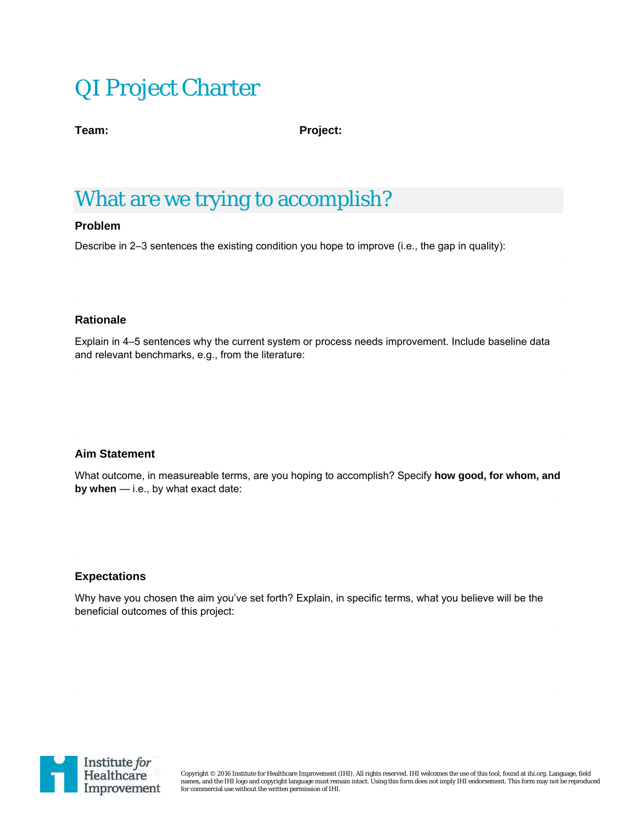# QI Project Charter

**Team: Project:** 

## What are we trying to accomplish?

#### **Problem**

Describe in 2–3 sentences the existing condition you hope to improve (i.e., the gap in quality):

#### **Rationale**

Explain in 4–5 sentences why the current system or process needs improvement. Include baseline data and relevant benchmarks, e.g., from the literature:

#### **Aim Statement**

What outcome, in measureable terms, are you hoping to accomplish? Specify **how good, for whom, and by when** — i.e., by what exact date:

#### **Expectations**

Why have you chosen the aim you've set forth? Explain, in specific terms, what you believe will be the beneficial outcomes of this project:



Copyright © 2016 Institute for Healthcare Improvement (IHI). All rights reserved. IHI welcomes the use of this tool, found at ihi.org. Language, field names, and the IHI logo and copyright language must remain intact. Using this form does not imply IHI endorsement. This form may not be reproduced for commercial use without the written permission of IHI.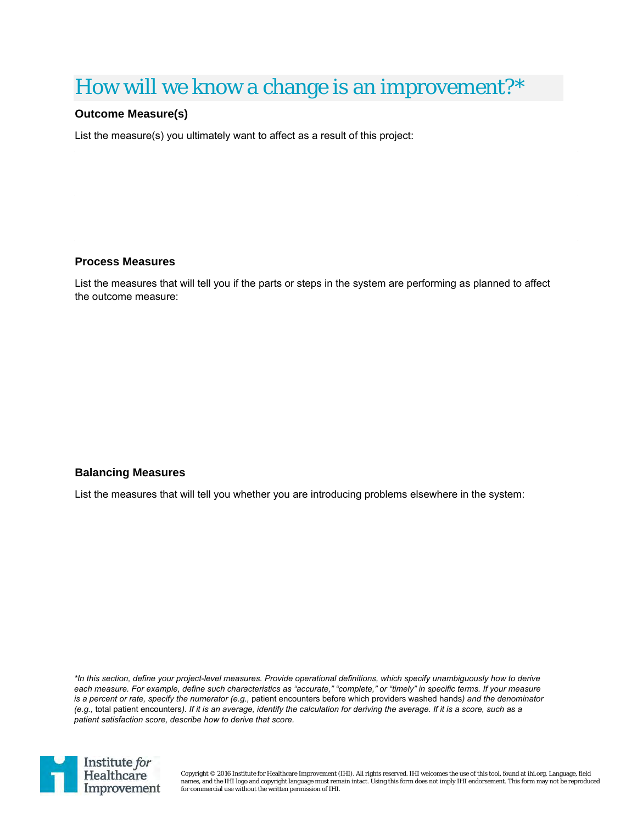## How will we know a change is an improvement?\*

#### **Outcome Measure(s)**

List the measure(s) you ultimately want to affect as a result of this project:

#### **Process Measures**

List the measures that will tell you if the parts or steps in the system are performing as planned to affect the outcome measure:

#### **Balancing Measures**

List the measures that will tell you whether you are introducing problems elsewhere in the system:

*\*In this section, define your project-level measures. Provide operational definitions, which specify unambiguously how to derive each measure. For example, define such characteristics as "accurate," "complete," or "timely" in specific terms. If your measure is a percent or rate, specify the numerator (e.g., patient encounters before which providers washed hands) and the denominator (e.g.,* total patient encounters*). If it is an average, identify the calculation for deriving the average. If it is a score, such as a patient satisfaction score, describe how to derive that score.* 



Copyright © 2016 Institute for Healthcare Improvement (IHI). All rights reserved. IHI welcomes the use of this tool, found at ihi.org. Language, field names, and the IHI logo and copyright language must remain intact. Using this form does not imply IHI endorsement. This form may not be reproduced for commercial use without the written permission of IHI.